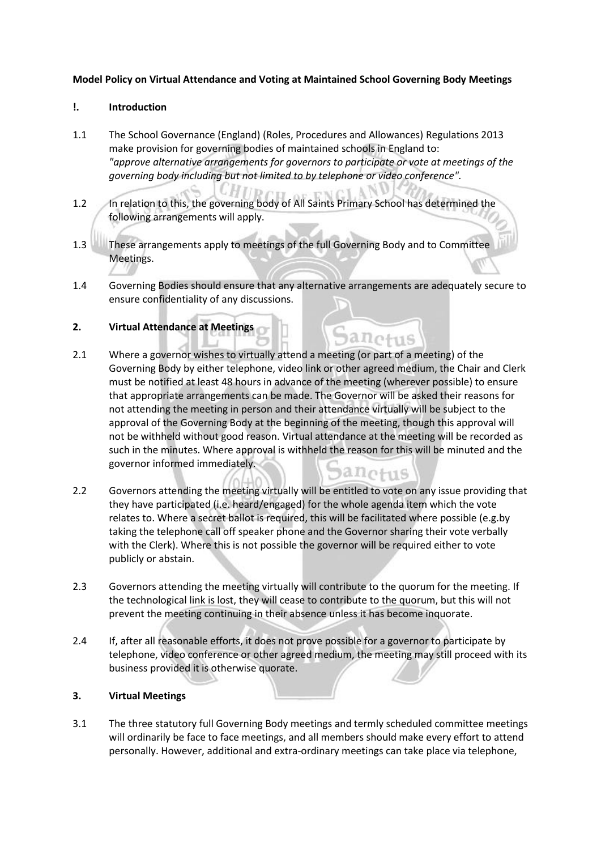### **Model Policy on Virtual Attendance and Voting at Maintained School Governing Body Meetings**

### **!. Introduction**

- 1.1 The School Governance (England) (Roles, Procedures and Allowances) Regulations 2013 make provision for governing bodies of maintained schools in England to: *"approve alternative arrangements for governors to participate or vote at meetings of the governing body including but not limited to by telephone or video conference".*
- 1.2 In relation to this, the governing body of All Saints Primary School has determined the following arrangements will apply.
- 1.3 These arrangements apply to meetings of the full Governing Body and to Committee Meetings.
- 1.4 Governing Bodies should ensure that any alternative arrangements are adequately secure to ensure confidentiality of any discussions.

anotus

# **2. Virtual Attendance at Meetings**

- 2.1 Where a governor wishes to virtually attend a meeting (or part of a meeting) of the Governing Body by either telephone, video link or other agreed medium, the Chair and Clerk must be notified at least 48 hours in advance of the meeting (wherever possible) to ensure that appropriate arrangements can be made. The Governor will be asked their reasons for not attending the meeting in person and their attendance virtually will be subject to the approval of the Governing Body at the beginning of the meeting, though this approval will not be withheld without good reason. Virtual attendance at the meeting will be recorded as such in the minutes. Where approval is withheld the reason for this will be minuted and the governor informed immediately. anctus
- 2.2 Governors attending the meeting virtually will be entitled to vote on any issue providing that they have participated (i.e. heard/engaged) for the whole agenda item which the vote relates to. Where a secret ballot is required, this will be facilitated where possible (e.g.by taking the telephone call off speaker phone and the Governor sharing their vote verbally with the Clerk). Where this is not possible the governor will be required either to vote publicly or abstain.
- 2.3 Governors attending the meeting virtually will contribute to the quorum for the meeting. If the technological link is lost, they will cease to contribute to the quorum, but this will not prevent the meeting continuing in their absence unless it has become inquorate.
- 2.4 If, after all reasonable efforts, it does not prove possible for a governor to participate by telephone, video conference or other agreed medium, the meeting may still proceed with its business provided it is otherwise quorate.

# **3. Virtual Meetings**

3.1 The three statutory full Governing Body meetings and termly scheduled committee meetings will ordinarily be face to face meetings, and all members should make every effort to attend personally. However, additional and extra-ordinary meetings can take place via telephone,